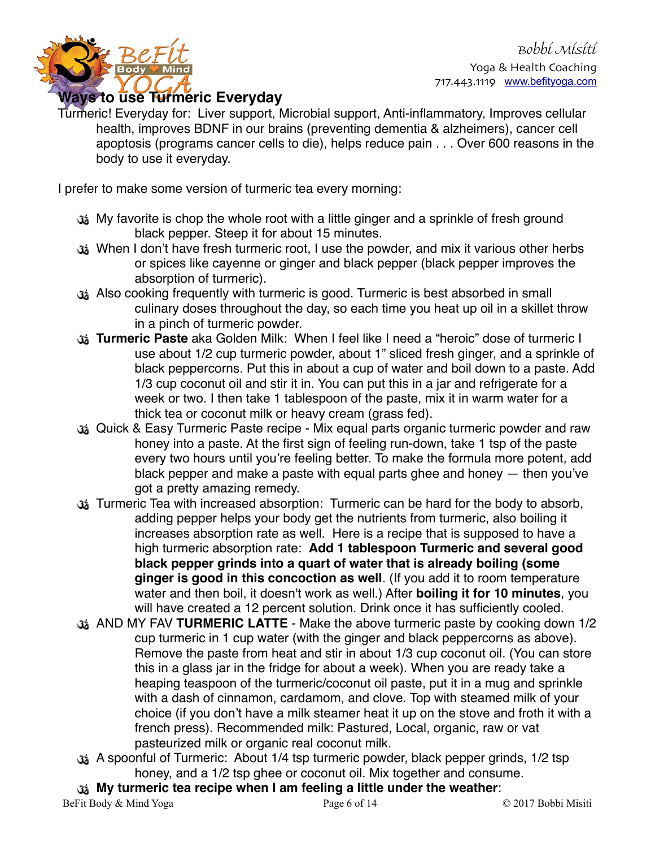



**Ways to use Turmeric Everyday**

Turmeric! Everyday for: Liver support, Microbial support, Anti-inflammatory, Improves cellular health, improves BDNF in our brains (preventing dementia & alzheimers), cancer cell apoptosis (programs cancer cells to die), helps reduce pain . . . Over 600 reasons in the body to use it everyday.

I prefer to make some version of turmeric tea every morning:

- My favorite is chop the whole root with a little ginger and a sprinkle of fresh ground black pepper. Steep it for about 15 minutes.
- When I don't have fresh turmeric root, I use the powder, and mix it various other herbs or spices like cayenne or ginger and black pepper (black pepper improves the absorption of turmeric).
- Also cooking frequently with turmeric is good. Turmeric is best absorbed in small culinary doses throughout the day, so each time you heat up oil in a skillet throw in a pinch of turmeric powder.
- **Turmeric Paste** aka Golden Milk: When I feel like I need a "heroic" dose of turmeric I use about 1/2 cup turmeric powder, about 1" sliced fresh ginger, and a sprinkle of black peppercorns. Put this in about a cup of water and boil down to a paste. Add 1/3 cup coconut oil and stir it in. You can put this in a jar and refrigerate for a week or two. I then take 1 tablespoon of the paste, mix it in warm water for a thick tea or coconut milk or heavy cream (grass fed).
- Quick & Easy Turmeric Paste recipe Mix equal parts organic turmeric powder and raw honey into a paste. At the first sign of feeling run-down, take 1 tsp of the paste every two hours until you're feeling better. To make the formula more potent, add black pepper and make a paste with equal parts ghee and honey — then you've got a pretty amazing remedy.
- Turmeric Tea with increased absorption: Turmeric can be hard for the body to absorb, adding pepper helps your body get the nutrients from turmeric, also boiling it increases absorption rate as well. Here is a recipe that is supposed to have a high turmeric absorption rate: **Add 1 tablespoon Turmeric and several good black pepper grinds into a quart of water that is already boiling (some ginger is good in this concoction as well**. (If you add it to room temperature water and then boil, it doesn't work as well.) After **boiling it for 10 minutes**, you will have created a 12 percent solution. Drink once it has sufficiently cooled.
- AND MY FAV **TURMERIC LATTE** Make the above turmeric paste by cooking down 1/2 cup turmeric in 1 cup water (with the ginger and black peppercorns as above). Remove the paste from heat and stir in about 1/3 cup coconut oil. (You can store this in a glass jar in the fridge for about a week). When you are ready take a heaping teaspoon of the turmeric/coconut oil paste, put it in a mug and sprinkle with a dash of cinnamon, cardamom, and clove. Top with steamed milk of your choice (if you don't have a milk steamer heat it up on the stove and froth it with a french press). Recommended milk: Pastured, Local, organic, raw or vat pasteurized milk or organic real coconut milk.
- A spoonful of Turmeric: About 1/4 tsp turmeric powder, black pepper grinds, 1/2 tsp honey, and a 1/2 tsp ghee or coconut oil. Mix together and consume.
- **My turmeric tea recipe when I am feeling a little under the weather**: